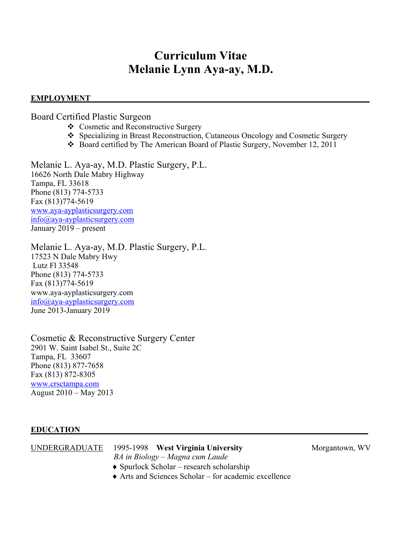# **Curriculum Vitae Melanie Lynn Aya-ay, M.D.**

#### **EMPLOYMENT**

Board Certified Plastic Surgeon

- v Cosmetic and Reconstructive Surgery
- v Specializing in Breast Reconstruction, Cutaneous Oncology and Cosmetic Surgery
- v Board certified by The American Board of Plastic Surgery, November 12, 2011

Melanie L. Aya-ay, M.D. Plastic Surgery, P.L. 16626 North Dale Mabry Highway Tampa, FL 33618 Phone (813) 774-5733 Fax (813)774-5619 www.aya-ayplasticsurgery.com info@aya-ayplasticsurgery.com January 2019 – present

Melanie L. Aya-ay, M.D. Plastic Surgery, P.L. 17523 N Dale Mabry Hwy Lutz Fl 33548 Phone (813) 774-5733 Fax (813)774-5619 www.aya-ayplasticsurgery.com info@aya-ayplasticsurgery.com June 2013-January 2019

Cosmetic & Reconstructive Surgery Center 2901 W. Saint Isabel St., Suite 2C Tampa, FL 33607 Phone (813) 877-7658 Fax (813) 872-8305 www.crsctampa.com August 2010 – May 2013

## **EDUCATION\_\_\_\_\_\_\_\_\_\_\_\_\_\_\_\_\_\_\_\_\_\_\_\_\_\_\_\_\_\_\_\_\_\_\_\_\_\_\_\_\_\_\_\_\_\_\_\_\_\_\_\_\_\_\_\_\_\_\_\_\_**

| UNDERGRADUATE | 1995-1998 West Virginia University                | Morgantown, WV |
|---------------|---------------------------------------------------|----------------|
|               | BA in Biology – Magna cum Laude                   |                |
|               | $\bullet$ Spurlock Scholar – research scholarship |                |
|               |                                                   |                |

 $\triangle$  Arts and Sciences Scholar – for academic excellence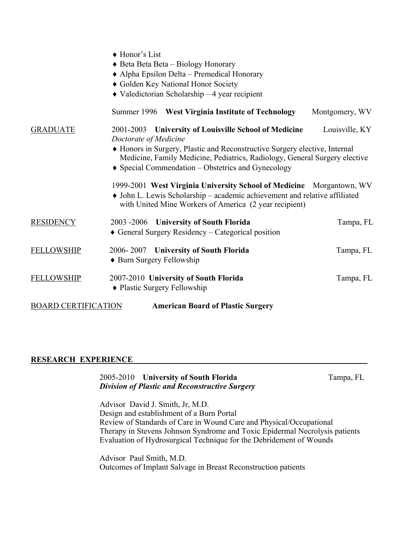|                            | ◆ Honor's List<br>◆ Beta Beta Beta - Biology Honorary<br>• Alpha Epsilon Delta – Premedical Honorary<br>• Golden Key National Honor Society<br>$\blacklozenge$ Valedictorian Scholarship - 4 year recipient                                                                                                                                                                                                                                                                                                    |                |
|----------------------------|----------------------------------------------------------------------------------------------------------------------------------------------------------------------------------------------------------------------------------------------------------------------------------------------------------------------------------------------------------------------------------------------------------------------------------------------------------------------------------------------------------------|----------------|
|                            | Summer 1996 West Virginia Institute of Technology                                                                                                                                                                                                                                                                                                                                                                                                                                                              | Montgomery, WV |
| <b>GRADUATE</b>            | 2001-2003 University of Louisville School of Medicine<br>Doctorate of Medicine<br>• Honors in Surgery, Plastic and Reconstructive Surgery elective, Internal<br>Medicine, Family Medicine, Pediatrics, Radiology, General Surgery elective<br>Special Commendation - Obstetrics and Gynecology<br>1999-2001 West Virginia University School of Medicine Morgantown, WV<br>• John L. Lewis Scholarship - academic achievement and relative affiliated<br>with United Mine Workers of America (2 year recipient) | Louisville, KY |
| <b>RESIDENCY</b>           | 2003 -2006 University of South Florida<br>$\triangle$ General Surgery Residency – Categorical position                                                                                                                                                                                                                                                                                                                                                                                                         | Tampa, FL      |
| <b>FELLOWSHIP</b>          | 2006-2007 University of South Florida<br>• Burn Surgery Fellowship                                                                                                                                                                                                                                                                                                                                                                                                                                             | Tampa, FL      |
| <b>FELLOWSHIP</b>          | 2007-2010 University of South Florida<br>• Plastic Surgery Fellowship                                                                                                                                                                                                                                                                                                                                                                                                                                          | Tampa, FL      |
| <b>BOARD CERTIFICATION</b> | <b>American Board of Plastic Surgery</b>                                                                                                                                                                                                                                                                                                                                                                                                                                                                       |                |

#### **RESEARCH EXPERIENCE\_\_\_\_\_\_\_\_\_\_\_\_\_\_\_\_\_\_\_\_\_\_\_\_\_\_\_\_\_\_\_\_\_\_\_\_\_\_\_\_\_\_\_\_\_\_\_\_\_\_\_\_\_\_\_\_\_\_**

#### 2005-2010 **University of South Florida** Tampa, FL *Division of Plastic and Reconstructive Surgery*

Advisor David J. Smith, Jr, M.D. Design and establishment of a Burn Portal Review of Standards of Care in Wound Care and Physical/Occupational Therapy in Stevens Johnson Syndrome and Toxic Epidermal Necrolysis patients Evaluation of Hydrosurgical Technique for the Debridement of Wounds

 Advisor Paul Smith, M.D. Outcomes of Implant Salvage in Breast Reconstruction patients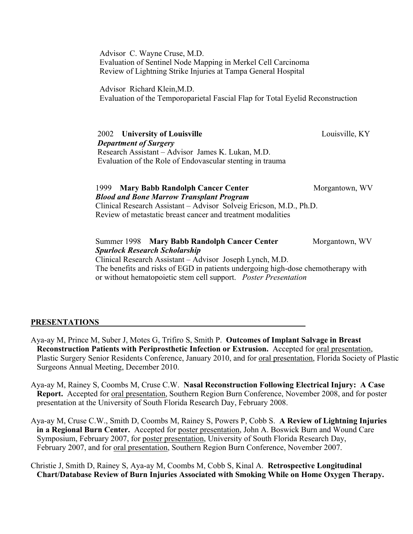Advisor C. Wayne Cruse, M.D. Evaluation of Sentinel Node Mapping in Merkel Cell Carcinoma Review of Lightning Strike Injuries at Tampa General Hospital

 Advisor Richard Klein,M.D. Evaluation of the Temporoparietal Fascial Flap for Total Eyelid Reconstruction

2002 **University of Louisville** Louisville, KY *Department of Surgery* Research Assistant – Advisor James K. Lukan, M.D. Evaluation of the Role of Endovascular stenting in trauma

1999 **Mary Babb Randolph Cancer Center Morgantown, WV** *Blood and Bone Marrow Transplant Program* Clinical Research Assistant – Advisor Solveig Ericson, M.D., Ph.D. Review of metastatic breast cancer and treatment modalities

Summer 1998 **Mary Babb Randolph Cancer Center** Morgantown, WV *Spurlock Research Scholarship* Clinical Research Assistant – Advisor Joseph Lynch, M.D. The benefits and risks of EGD in patients undergoing high-dose chemotherapy with or without hematopoietic stem cell support. *Poster Presentation*

#### **PRESENTATIONS\_\_\_\_\_\_\_\_\_\_\_\_\_\_\_\_\_\_\_\_\_\_\_\_\_\_\_\_\_\_\_\_\_\_\_\_\_\_\_\_\_\_\_\_\_\_\_\_\_\_\_**

Aya-ay M, Prince M, Suber J, Motes G, Trifiro S, Smith P. **Outcomes of Implant Salvage in Breast Reconstruction Patients with Periprosthetic Infection or Extrusion.** Accepted for oral presentation, Plastic Surgery Senior Residents Conference, January 2010, and for oral presentation, Florida Society of Plastic Surgeons Annual Meeting, December 2010.

Aya-ay M, Rainey S, Coombs M, Cruse C.W. **Nasal Reconstruction Following Electrical Injury: A Case Report.** Accepted for oral presentation, Southern Region Burn Conference, November 2008, and for poster presentation at the University of South Florida Research Day, February 2008.

Aya-ay M, Cruse C.W., Smith D, Coombs M, Rainey S, Powers P, Cobb S. **A Review of Lightning Injuries in a Regional Burn Center.** Accepted for poster presentation, John A. Boswick Burn and Wound Care Symposium, February 2007, for poster presentation, University of South Florida Research Day, February 2007, and for oral presentation, Southern Region Burn Conference, November 2007.

Christie J, Smith D, Rainey S, Aya-ay M, Coombs M, Cobb S, Kinal A. **Retrospective Longitudinal Chart/Database Review of Burn Injuries Associated with Smoking While on Home Oxygen Therapy.**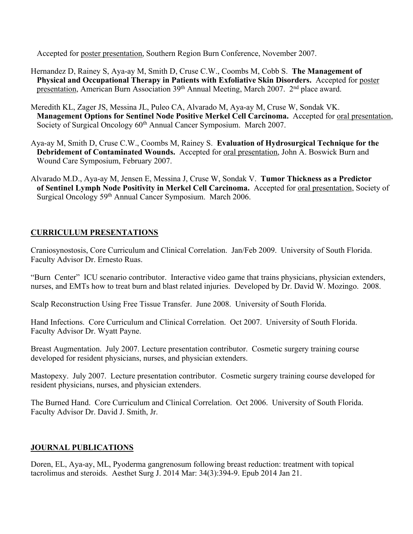Accepted for poster presentation, Southern Region Burn Conference, November 2007.

- Hernandez D, Rainey S, Aya-ay M, Smith D, Cruse C.W., Coombs M, Cobb S. **The Management of Physical and Occupational Therapy in Patients with Exfoliative Skin Disorders.** Accepted for poster presentation, American Burn Association 39<sup>th</sup> Annual Meeting, March 2007. 2<sup>nd</sup> place award.
- Meredith KL, Zager JS, Messina JL, Puleo CA, Alvarado M, Aya-ay M, Cruse W, Sondak VK. **Management Options for Sentinel Node Positive Merkel Cell Carcinoma.** Accepted for oral presentation, Society of Surgical Oncology 60<sup>th</sup> Annual Cancer Symposium. March 2007.
- Aya-ay M, Smith D, Cruse C.W., Coombs M, Rainey S. **Evaluation of Hydrosurgical Technique for the Debridement of Contaminated Wounds.** Accepted for oral presentation, John A. Boswick Burn and Wound Care Symposium, February 2007.
- Alvarado M.D., Aya-ay M, Jensen E, Messina J, Cruse W, Sondak V. **Tumor Thickness as a Predictor of Sentinel Lymph Node Positivity in Merkel Cell Carcinoma.** Accepted for oral presentation, Society of Surgical Oncology 59<sup>th</sup> Annual Cancer Symposium. March 2006.

## **CURRICULUM PRESENTATIONS**

Craniosynostosis, Core Curriculum and Clinical Correlation. Jan/Feb 2009. University of South Florida. Faculty Advisor Dr. Ernesto Ruas.

"Burn Center" ICU scenario contributor. Interactive video game that trains physicians, physician extenders, nurses, and EMTs how to treat burn and blast related injuries. Developed by Dr. David W. Mozingo. 2008.

Scalp Reconstruction Using Free Tissue Transfer. June 2008. University of South Florida.

Hand Infections. Core Curriculum and Clinical Correlation. Oct 2007. University of South Florida. Faculty Advisor Dr. Wyatt Payne.

Breast Augmentation. July 2007. Lecture presentation contributor. Cosmetic surgery training course developed for resident physicians, nurses, and physician extenders.

Mastopexy. July 2007. Lecture presentation contributor. Cosmetic surgery training course developed for resident physicians, nurses, and physician extenders.

The Burned Hand. Core Curriculum and Clinical Correlation. Oct 2006. University of South Florida. Faculty Advisor Dr. David J. Smith, Jr.

## **JOURNAL PUBLICATIONS**

Doren, EL, Aya-ay, ML, Pyoderma gangrenosum following breast reduction: treatment with topical tacrolimus and steroids. Aesthet Surg J. 2014 Mar: 34(3):394-9. Epub 2014 Jan 21.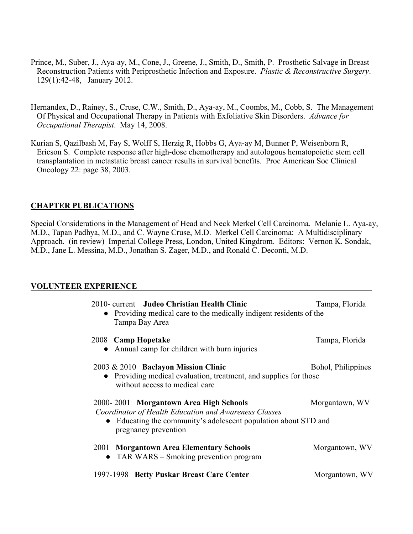- Prince, M., Suber, J., Aya-ay, M., Cone, J., Greene, J., Smith, D., Smith, P. Prosthetic Salvage in Breast Reconstruction Patients with Periprosthetic Infection and Exposure. *Plastic & Reconstructive Surgery*. 129(1):42-48, January 2012.
- Hernandex, D., Rainey, S., Cruse, C.W., Smith, D., Aya-ay, M., Coombs, M., Cobb, S. The Management Of Physical and Occupational Therapy in Patients with Exfoliative Skin Disorders. *Advance for Occupational Therapist*. May 14, 2008.
- Kurian S, Qazilbash M, Fay S, Wolff S, Herzig R, Hobbs G, Aya-ay M, Bunner P, Weisenborn R, Ericson S. Complete response after high-dose chemotherapy and autologous hematopoietic stem cell transplantation in metastatic breast cancer results in survival benefits. Proc American Soc Clinical Oncology 22: page 38, 2003.

## **CHAPTER PUBLICATIONS**

Special Considerations in the Management of Head and Neck Merkel Cell Carcinoma. Melanie L. Aya-ay, M.D., Tapan Padhya, M.D., and C. Wayne Cruse, M.D. Merkel Cell Carcinoma: A Multidisciplinary Approach. (in review) Imperial College Press, London, United Kingdrom. Editors: Vernon K. Sondak, M.D., Jane L. Messina, M.D., Jonathan S. Zager, M.D., and Ronald C. Deconti, M.D.

#### **VOLUNTEER EXPERIENCE\_\_\_\_\_\_\_\_\_\_\_\_\_\_\_\_\_\_\_\_\_\_\_\_\_\_\_\_\_\_\_\_\_\_\_\_\_\_\_\_\_\_\_\_\_\_\_\_\_\_\_\_\_\_\_\_\_\_**

| 2010- current Judeo Christian Health Clinic<br>• Providing medical care to the medically indigent residents of the<br>Tampa Bay Area                                                     | Tampa, Florida     |
|------------------------------------------------------------------------------------------------------------------------------------------------------------------------------------------|--------------------|
| 2008 Camp Hopetake<br>Annual camp for children with burn injuries                                                                                                                        | Tampa, Florida     |
| 2003 & 2010 Baclayon Mission Clinic<br>• Providing medical evaluation, treatment, and supplies for those<br>without access to medical care                                               | Bohol, Philippines |
| 2000-2001 Morgantown Area High Schools<br>Coordinator of Health Education and Awareness Classes<br>Educating the community's adolescent population about STD and<br>pregnancy prevention | Morgantown, WV     |
| 2001 Morgantown Area Elementary Schools<br>• TAR WARS $-$ Smoking prevention program                                                                                                     | Morgantown, WV     |
| 1997-1998 Betty Puskar Breast Care Center                                                                                                                                                | Morgantown, WV     |